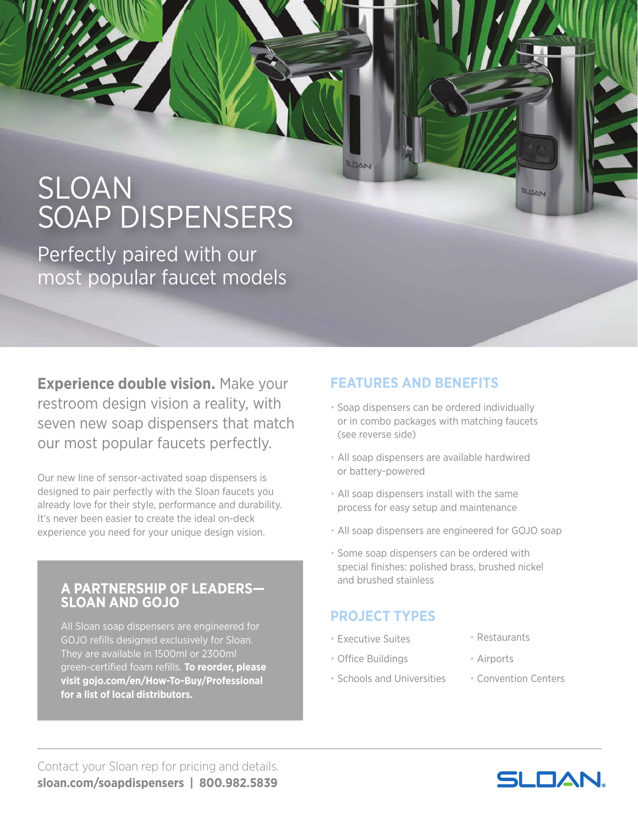# SLOAN SOAP DISPENSERS

Perfectly paired with our most popular faucet models

**Experience double vision.** Make your restroom design vision a reality, with seven new soap dispensers that match our most popular faucets perfectly.

Our new line of sensor-activated soap dispensers is designed to pair perfectly with the Sloan faucets you already love for their style, performance and durability. It's never been easier to create the ideal on-deck experience you need for your unique design vision.

#### **A PARTNERSHIP OF LEADERS— SLOAN AND GOJO**

All Sloan soap dispensers are engineered for GOJO refills designed exclusively for Sloan. They are available in 1500ml or 2300ml green-certified foam refills. **To reorder, please visit gojo.com/en/How-To-Buy/Professional for a list of local distributors.**

### **FEATURES AND BENEFITS**

- Soap dispensers can be ordered individually or in combo packages with matching faucets (see reverse side)
- All soap dispensers are available hardwired or battery-powered
- All soap dispensers install with the same process for easy setup and maintenance
- All soap dispensers are engineered for GOJO soap
- Some soap dispensers can be ordered with special finishes: polished brass, brushed nickel and brushed stainless

#### **PROJECT TYPES**

- Executive Suites
- Office Buildings
- Schools and Universities
- Restaurants
- Airports
- Convention Centers

JOAN

Contact your Sloan rep for pricing and details. **sloan.com/soapdispensers | 800.982.5839**